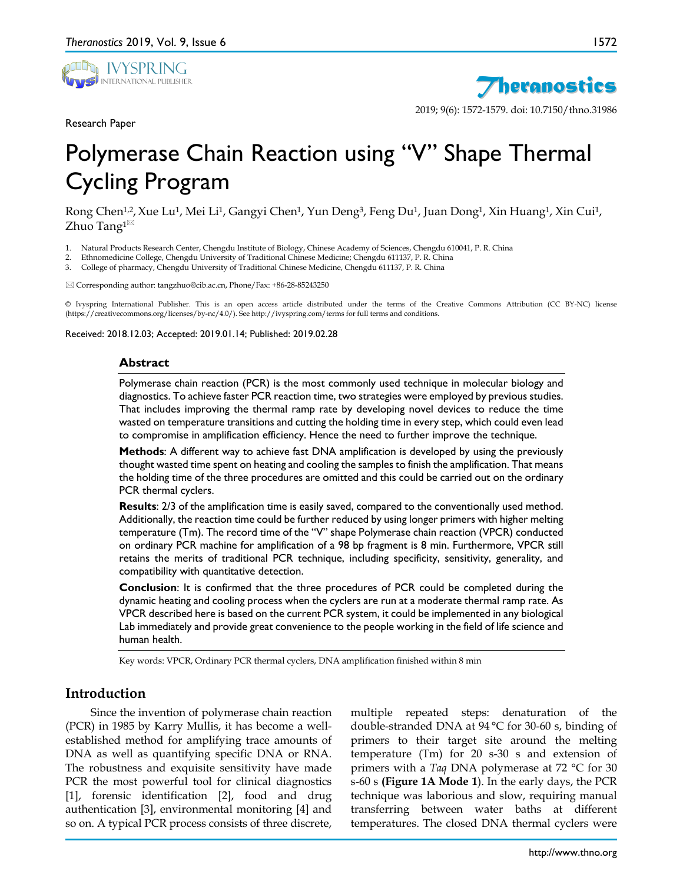

Research Paper



2019; 9(6): 1572-1579. doi: 10.7150/thno.31986

# Polymerase Chain Reaction using "V" Shape Thermal Cycling Program

Rong Chen<sup>1,2</sup>, Xue Lu<sup>1</sup>, Mei Li<sup>1</sup>, Gangyi Chen<sup>1</sup>, Yun Deng<sup>3</sup>, Feng Du<sup>1</sup>, Juan Dong<sup>1</sup>, Xin Huang<sup>1</sup>, Xin Cui<sup>1</sup>, Zhuo Tang $1^{\boxtimes}$ 

- 1. Natural Products Research Center, Chengdu Institute of Biology, Chinese Academy of Sciences, Chengdu 610041, P. R. China
- 2. Ethnomedicine College, Chengdu University of Traditional Chinese Medicine; Chengdu 611137, P. R. China
- 3. College of pharmacy, Chengdu University of Traditional Chinese Medicine, Chengdu 611137, P. R. China

Corresponding author: tangzhuo@cib.ac.cn, Phone/Fax: +86-28-85243250

© Ivyspring International Publisher. This is an open access article distributed under the terms of the Creative Commons Attribution (CC BY-NC) license (https://creativecommons.org/licenses/by-nc/4.0/). See http://ivyspring.com/terms for full terms and conditions.

Received: 2018.12.03; Accepted: 2019.01.14; Published: 2019.02.28

#### **Abstract**

Polymerase chain reaction (PCR) is the most commonly used technique in molecular biology and diagnostics. To achieve faster PCR reaction time, two strategies were employed by previous studies. That includes improving the thermal ramp rate by developing novel devices to reduce the time wasted on temperature transitions and cutting the holding time in every step, which could even lead to compromise in amplification efficiency. Hence the need to further improve the technique.

**Methods**: A different way to achieve fast DNA amplification is developed by using the previously thought wasted time spent on heating and cooling the samples to finish the amplification. That means the holding time of the three procedures are omitted and this could be carried out on the ordinary PCR thermal cyclers.

**Results**: 2/3 of the amplification time is easily saved, compared to the conventionally used method. Additionally, the reaction time could be further reduced by using longer primers with higher melting temperature (Tm). The record time of the "V" shape Polymerase chain reaction (VPCR) conducted on ordinary PCR machine for amplification of a 98 bp fragment is 8 min. Furthermore, VPCR still retains the merits of traditional PCR technique, including specificity, sensitivity, generality, and compatibility with quantitative detection.

**Conclusion**: It is confirmed that the three procedures of PCR could be completed during the dynamic heating and cooling process when the cyclers are run at a moderate thermal ramp rate. As VPCR described here is based on the current PCR system, it could be implemented in any biological Lab immediately and provide great convenience to the people working in the field of life science and human health.

Key words: VPCR, Ordinary PCR thermal cyclers, DNA amplification finished within 8 min

# **Introduction**

Since the invention of polymerase chain reaction (PCR) in 1985 by Karry Mullis, it has become a wellestablished method for amplifying trace amounts of DNA as well as quantifying specific DNA or RNA. The robustness and exquisite sensitivity have made PCR the most powerful tool for clinical diagnostics [1], forensic identification [2], food and drug authentication [3], environmental monitoring [4] and so on. A typical PCR process consists of three discrete,

multiple repeated steps: denaturation of the double-stranded DNA at 94 °C for 30-60 s, binding of primers to their target site around the melting temperature (Tm) for 20 s-30 s and extension of primers with a *Taq* DNA polymerase at 72 °C for 30 s-60 s **(Figure 1A Mode 1**). In the early days, the PCR technique was laborious and slow, requiring manual transferring between water baths at different temperatures. The closed DNA thermal cyclers were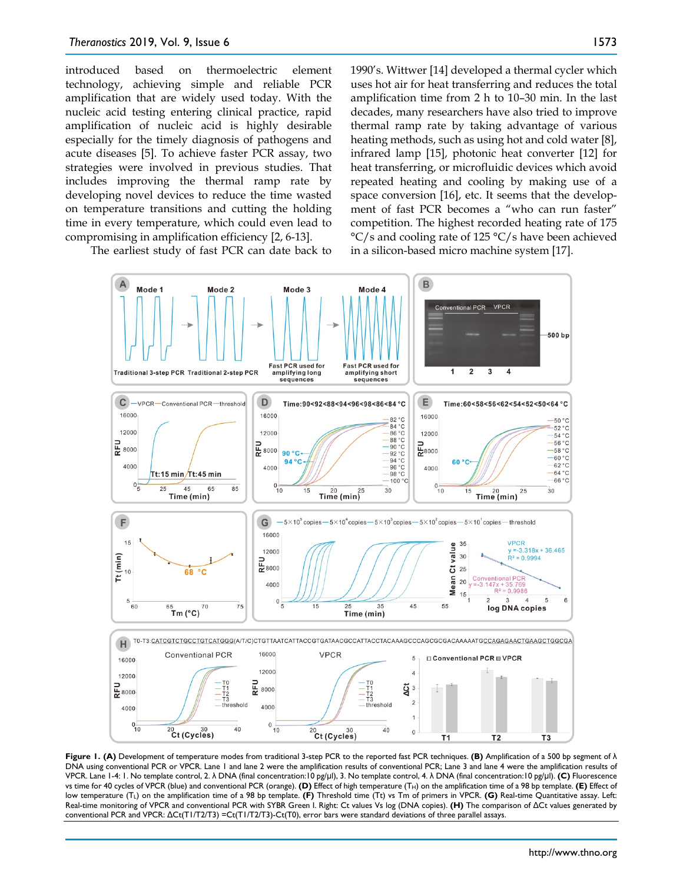introduced based on thermoelectric element technology, achieving simple and reliable PCR amplification that are widely used today. With the nucleic acid testing entering clinical practice, rapid amplification of nucleic acid is highly desirable especially for the timely diagnosis of pathogens and acute diseases [5]. To achieve faster PCR assay, two strategies were involved in previous studies. That includes improving the thermal ramp rate by developing novel devices to reduce the time wasted on temperature transitions and cutting the holding time in every temperature, which could even lead to

The earliest study of fast PCR can date back to

compromising in amplification efficiency [2, 6-13].

1990's. Wittwer [14] developed a thermal cycler which uses hot air for heat transferring and reduces the total amplification time from 2 h to 10–30 min. In the last decades, many researchers have also tried to improve thermal ramp rate by taking advantage of various heating methods, such as using hot and cold water [8], infrared lamp [15], photonic heat converter [12] for heat transferring, or microfluidic devices which avoid repeated heating and cooling by making use of a space conversion [16], etc. It seems that the development of fast PCR becomes a "who can run faster" competition. The highest recorded heating rate of 175 °C/s and cooling rate of 125 °C/s have been achieved in a silicon-based micro machine system [17].



**Figure 1. (A)** Development of temperature modes from traditional 3-step PCR to the reported fast PCR techniques. **(B)** Amplification of a 500 bp segment of λ DNA using conventional PCR or VPCR. Lane 1 and lane 2 were the amplification results of conventional PCR; Lane 3 and lane 4 were the amplification results of VPCR. Lane 1-4: 1. No template control, 2. λ DNA (final concentration:10 pg/μl), 3. No template control, 4. λ DNA (final concentration:10 pg/μl). **(C)** Fluorescence vs time for 40 cycles of VPCR (blue) and conventional PCR (orange). **(D)** Effect of high temperature (T<sub>H</sub>) on the amplification time of a 98 bp template. **(E)** Effect of low temperature (TL) on the amplification time of a 98 bp template. **(F)** Threshold time (Tt) vs Tm of primers in VPCR. **(G)** Real-time Quantitative assay. Left: Real-time monitoring of VPCR and conventional PCR with SYBR Green I. Right: Ct values Vs log (DNA copies). **(H)** The comparison of ΔCt values generated by conventional PCR and VPCR: ΔCt(T1/T2/T3) =Ct(T1/T2/T3)-Ct(T0), error bars were standard deviations of three parallel assays.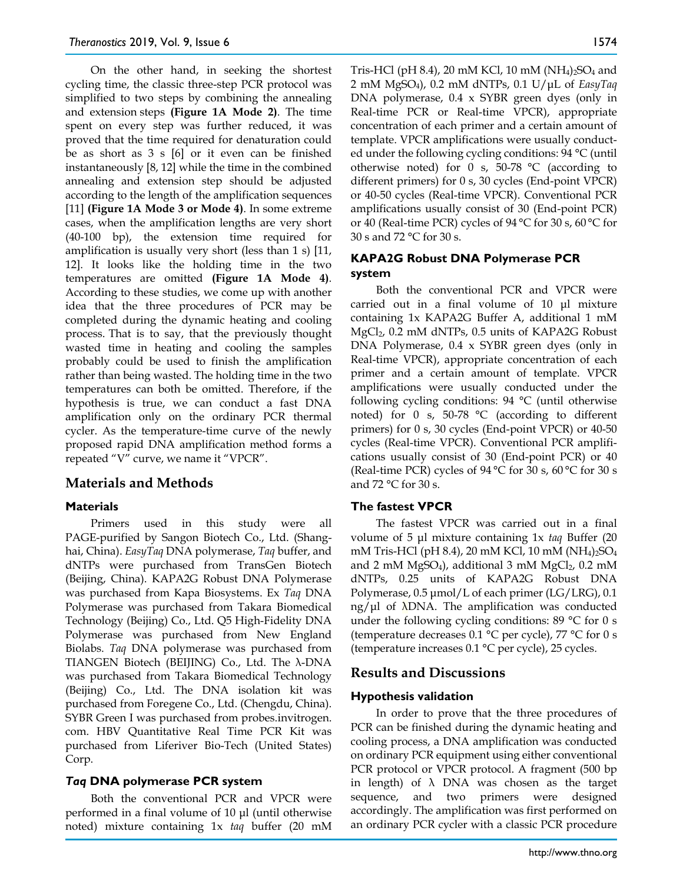On the other hand, in seeking the shortest cycling time, the classic three-step PCR protocol was simplified to two steps by combining the annealing and extension steps **(Figure 1A Mode 2)**. The time spent on every step was further reduced, it was proved that the time required for denaturation could be as short as 3 s [6] or it even can be finished instantaneously [8, 12] while the time in the combined annealing and extension step should be adjusted according to the length of the amplification sequences [11] **(Figure 1A Mode 3 or Mode 4)**. In some extreme cases, when the amplification lengths are very short (40-100 bp), the extension time required for amplification is usually very short (less than 1 s) [11, 12]. It looks like the holding time in the two temperatures are omitted **(Figure 1A Mode 4)**. According to these studies, we come up with another idea that the three procedures of PCR may be completed during the dynamic heating and cooling process. That is to say, that the previously thought wasted time in heating and cooling the samples probably could be used to finish the amplification rather than being wasted. The holding time in the two temperatures can both be omitted. Therefore, if the hypothesis is true, we can conduct a fast DNA amplification only on the ordinary PCR thermal cycler. As the temperature-time curve of the newly proposed rapid DNA amplification method forms a repeated "V" curve, we name it "VPCR".

# **Materials and Methods**

## **Materials**

Primers used in this study were all PAGE-purified by Sangon Biotech Co., Ltd. (Shanghai, China). *EasyTaq* DNA polymerase, *Taq* buffer, and dNTPs were purchased from TransGen Biotech (Beijing, China). KAPA2G Robust DNA Polymerase was purchased from Kapa Biosystems. Ex *Taq* DNA Polymerase was purchased from Takara Biomedical Technology (Beijing) Co., Ltd. Q5 High-Fidelity DNA Polymerase was purchased from New England Biolabs. *Taq* DNA polymerase was purchased from TIANGEN Biotech (BEIJING) Co., Ltd. The λ-DNA was purchased from Takara Biomedical Technology (Beijing) Co., Ltd. The DNA isolation kit was purchased from Foregene Co., Ltd. (Chengdu, China). SYBR Green I was purchased from probes.invitrogen. com. HBV Quantitative Real Time PCR Kit was purchased from Liferiver Bio-Tech (United States) Corp.

## *Taq* **DNA polymerase PCR system**

Both the conventional PCR and VPCR were performed in a final volume of 10 μl (until otherwise noted) mixture containing 1x *taq* buffer (20 mM Tris-HCl (pH 8.4), 20 mM KCl, 10 mM (NH<sub>4</sub>)<sub>2</sub>SO<sub>4</sub> and 2 mM MgSO4), 0.2 mM dNTPs, 0.1 U/μL of *EasyTaq* DNA polymerase, 0.4 x SYBR green dyes (only in Real-time PCR or Real-time VPCR), appropriate concentration of each primer and a certain amount of template. VPCR amplifications were usually conducted under the following cycling conditions: 94 °C (until otherwise noted) for 0 s, 50-78  $\degree$ C (according to different primers) for 0 s, 30 cycles (End-point VPCR) or 40-50 cycles (Real-time VPCR). Conventional PCR amplifications usually consist of 30 (End-point PCR) or 40 (Real-time PCR) cycles of 94 °C for 30 s, 60 °C for 30 s and 72 °C for 30 s.

## **KAPA2G Robust DNA Polymerase PCR system**

Both the conventional PCR and VPCR were carried out in a final volume of 10 μl mixture containing 1x KAPA2G Buffer A, additional 1 mM MgCl2, 0.2 mM dNTPs, 0.5 units of KAPA2G Robust DNA Polymerase, 0.4 x SYBR green dyes (only in Real-time VPCR), appropriate concentration of each primer and a certain amount of template. VPCR amplifications were usually conducted under the following cycling conditions: 94 °C (until otherwise noted) for 0 s, 50-78 °C (according to different primers) for 0 s, 30 cycles (End-point VPCR) or 40-50 cycles (Real-time VPCR). Conventional PCR amplifications usually consist of 30 (End-point PCR) or 40 (Real-time PCR) cycles of  $94^{\circ}$ C for 30 s, 60 °C for 30 s and 72 °C for 30 s.

## **The fastest VPCR**

The fastest VPCR was carried out in a final volume of 5 μl mixture containing 1x *taq* Buffer (20 mM Tris-HCl (pH 8.4), 20 mM KCl, 10 mM (NH<sub>4</sub>)<sub>2</sub>SO<sub>4</sub> and 2 mM MgSO<sub>4</sub>), additional 3 mM MgCl<sub>2</sub>, 0.2 mM dNTPs, 0.25 units of KAPA2G Robust DNA Polymerase, 0.5 μmol/L of each primer (LG/LRG), 0.1  $ng/µl$  of  $\Lambda$ DNA. The amplification was conducted under the following cycling conditions: 89 °C for 0 s (temperature decreases 0.1 °C per cycle), 77 °C for 0 s (temperature increases 0.1 °C per cycle), 25 cycles.

# **Results and Discussions**

## **Hypothesis validation**

In order to prove that the three procedures of PCR can be finished during the dynamic heating and cooling process, a DNA amplification was conducted on ordinary PCR equipment using either conventional PCR protocol or VPCR protocol. A fragment (500 bp in length) of  $\lambda$  DNA was chosen as the target sequence, and two primers were designed accordingly. The amplification was first performed on an ordinary PCR cycler with a classic PCR procedure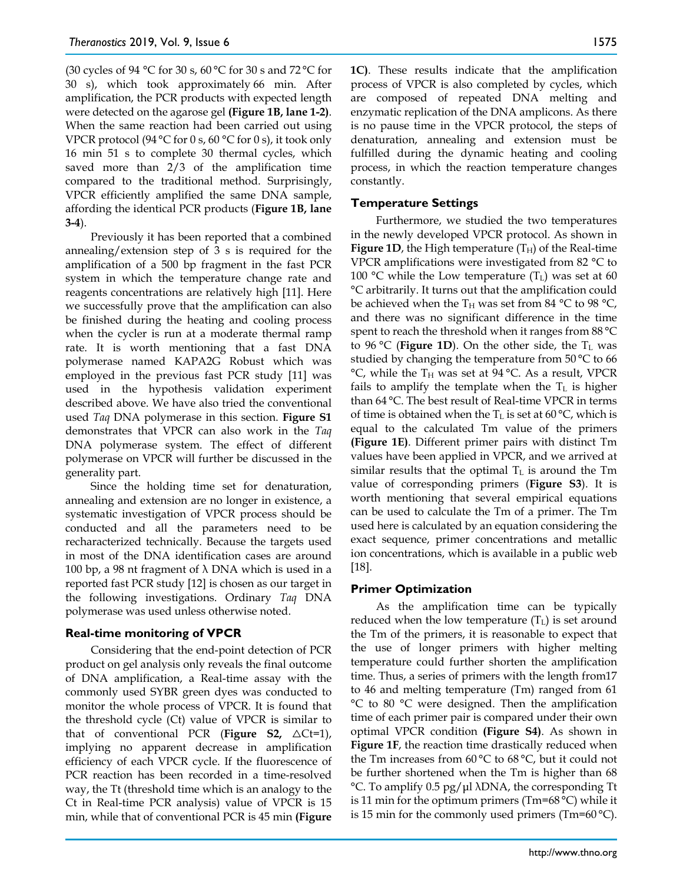(30 cycles of 94 °C for 30 s, 60 °C for 30 s and 72 °C for 30 s), which took approximately 66 min. After amplification, the PCR products with expected length were detected on the agarose gel **(Figure 1B, lane 1-2)**. When the same reaction had been carried out using VPCR protocol (94 °C for 0 s, 60 °C for 0 s), it took only 16 min 51 s to complete 30 thermal cycles, which saved more than 2/3 of the amplification time compared to the traditional method. Surprisingly, VPCR efficiently amplified the same DNA sample, affording the identical PCR products (**Figure 1B, lane 3-4**).

Previously it has been reported that a combined annealing/extension step of 3 s is required for the amplification of a 500 bp fragment in the fast PCR system in which the temperature change rate and reagents concentrations are relatively high [11]. Here we successfully prove that the amplification can also be finished during the heating and cooling process when the cycler is run at a moderate thermal ramp rate. It is worth mentioning that a fast DNA polymerase named KAPA2G Robust which was employed in the previous fast PCR study [11] was used in the hypothesis validation experiment described above. We have also tried the conventional used *Taq* DNA polymerase in this section. **Figure S1**  demonstrates that VPCR can also work in the *Taq* DNA polymerase system. The effect of different polymerase on VPCR will further be discussed in the generality part.

Since the holding time set for denaturation, annealing and extension are no longer in existence, a systematic investigation of VPCR process should be conducted and all the parameters need to be recharacterized technically. Because the targets used in most of the DNA identification cases are around 100 bp, a 98 nt fragment of  $\lambda$  DNA which is used in a reported fast PCR study [12] is chosen as our target in the following investigations. Ordinary *Taq* DNA polymerase was used unless otherwise noted.

## **Real-time monitoring of VPCR**

Considering that the end-point detection of PCR product on gel analysis only reveals the final outcome of DNA amplification, a Real-time assay with the commonly used SYBR green dyes was conducted to monitor the whole process of VPCR. It is found that the threshold cycle (Ct) value of VPCR is similar to that of conventional PCR (**Figure S2**,  $\triangle Ct=1$ ), implying no apparent decrease in amplification efficiency of each VPCR cycle. If the fluorescence of PCR reaction has been recorded in a time-resolved way, the Tt (threshold time which is an analogy to the Ct in Real-time PCR analysis) value of VPCR is 15 min, while that of conventional PCR is 45 min **(Figure** 

**1C)**. These results indicate that the amplification process of VPCR is also completed by cycles, which are composed of repeated DNA melting and enzymatic replication of the DNA amplicons. As there is no pause time in the VPCR protocol, the steps of denaturation, annealing and extension must be fulfilled during the dynamic heating and cooling process, in which the reaction temperature changes constantly.

#### **Temperature Settings**

Furthermore, we studied the two temperatures in the newly developed VPCR protocol. As shown in **Figure 1D**, the High temperature  $(T_H)$  of the Real-time VPCR amplifications were investigated from 82 °C to 100 °C while the Low temperature  $(T<sub>L</sub>)$  was set at 60 °C arbitrarily. It turns out that the amplification could be achieved when the  $T_H$  was set from 84 °C to 98 °C, and there was no significant difference in the time spent to reach the threshold when it ranges from 88 °C to 96 °C (**Figure 1D**). On the other side, the  $T_L$  was studied by changing the temperature from 50 °C to 66  $^{\circ}$ C, while the T<sub>H</sub> was set at 94  $^{\circ}$ C. As a result, VPCR fails to amplify the template when the  $T_L$  is higher than 64 °C. The best result of Real-time VPCR in terms of time is obtained when the  $T_L$  is set at 60 °C, which is equal to the calculated Tm value of the primers **(Figure 1E)**. Different primer pairs with distinct Tm values have been applied in VPCR, and we arrived at similar results that the optimal  $T_L$  is around the Tm value of corresponding primers (**Figure S3**). It is worth mentioning that several empirical equations can be used to calculate the Tm of a primer. The Tm used here is calculated by an equation considering the exact sequence, primer concentrations and metallic ion concentrations, which is available in a public web [18].

## **Primer Optimization**

As the amplification time can be typically reduced when the low temperature  $(T<sub>L</sub>)$  is set around the Tm of the primers, it is reasonable to expect that the use of longer primers with higher melting temperature could further shorten the amplification time. Thus, a series of primers with the length from17 to 46 and melting temperature (Tm) ranged from 61 °C to 80 °C were designed. Then the amplification time of each primer pair is compared under their own optimal VPCR condition **(Figure S4)**. As shown in **Figure 1F**, the reaction time drastically reduced when the Tm increases from 60 °C to 68 °C, but it could not be further shortened when the Tm is higher than 68 °C. To amplify 0.5 pg/μl λDNA, the corresponding Tt is 11 min for the optimum primers (Tm=68 °C) while it is 15 min for the commonly used primers (Tm=60 °C).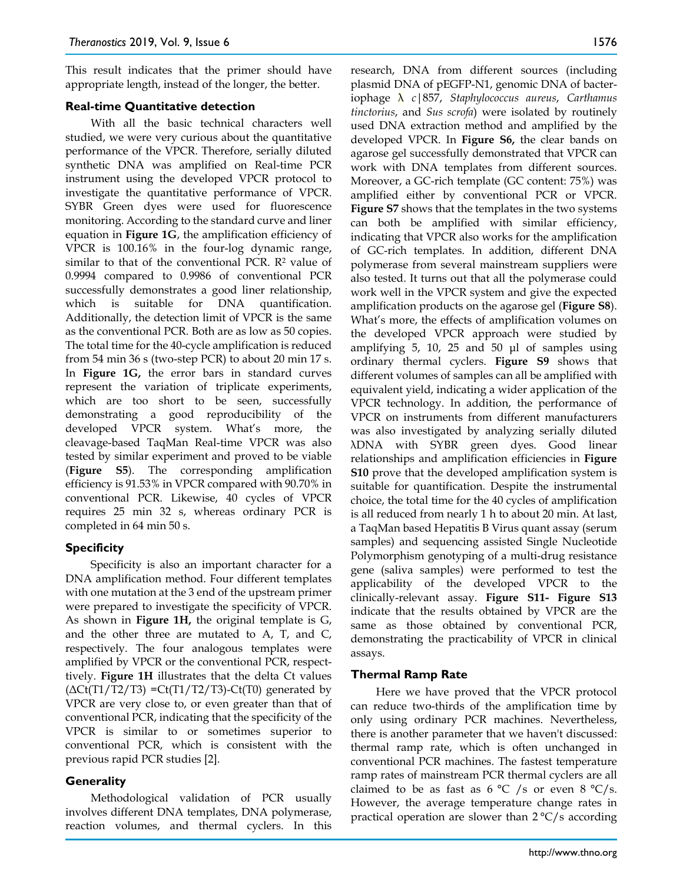This result indicates that the primer should have appropriate length, instead of the longer, the better.

#### **Real-time Quantitative detection**

With all the basic technical characters well studied, we were very curious about the quantitative performance of the VPCR. Therefore, serially diluted synthetic DNA was amplified on Real-time PCR instrument using the developed VPCR protocol to investigate the quantitative performance of VPCR. SYBR Green dyes were used for fluorescence monitoring. According to the standard curve and liner equation in **Figure 1G**, the amplification efficiency of VPCR is 100.16% in the four-log dynamic range, similar to that of the conventional PCR.  $\mathbb{R}^2$  value of 0.9994 compared to 0.9986 of conventional PCR successfully demonstrates a good liner relationship, which is suitable for DNA quantification. Additionally, the detection limit of VPCR is the same as the conventional PCR. Both are as low as 50 copies. The total time for the 40-cycle amplification is reduced from 54 min 36 s (two-step PCR) to about 20 min 17 s. In **Figure 1G,** the error bars in standard curves represent the variation of triplicate experiments, which are too short to be seen, successfully demonstrating a good reproducibility of the developed VPCR system. What's more, the cleavage-based TaqMan Real-time VPCR was also tested by similar experiment and proved to be viable (**Figure S5**). The corresponding amplification efficiency is 91.53% in VPCR compared with 90.70% in conventional PCR. Likewise, 40 cycles of VPCR requires 25 min 32 s, whereas ordinary PCR is completed in 64 min 50 s.

## **Specificity**

Specificity is also an important character for a DNA amplification method. Four different templates with one mutation at the 3 end of the upstream primer were prepared to investigate the specificity of VPCR. As shown in **Figure 1H,** the original template is G, and the other three are mutated to A, T, and C, respectively. The four analogous templates were amplified by VPCR or the conventional PCR, respecttively. **Figure 1H** illustrates that the delta Ct values  $(\Delta Ct(T1/T2/T3) = Ct(T1/T2/T3) - Ct(T0)$  generated by VPCR are very close to, or even greater than that of conventional PCR, indicating that the specificity of the VPCR is similar to or sometimes superior to conventional PCR, which is consistent with the previous rapid PCR studies [2].

## **Generality**

Methodological validation of PCR usually involves different DNA templates, DNA polymerase, reaction volumes, and thermal cyclers. In this research, DNA from different sources (including plasmid DNA of pEGFP-N1, genomic DNA of bacteriophage λ *c*|857, *Staphylococcus aureus*, *Carthamus tinctorius*, and *Sus scrofa*) were isolated by routinely used DNA extraction method and amplified by the developed VPCR. In **Figure S6,** the clear bands on agarose gel successfully demonstrated that VPCR can work with DNA templates from different sources. Moreover, a GC-rich template (GC content: 75%) was amplified either by conventional PCR or VPCR. **Figure S7** shows that the templates in the two systems can both be amplified with similar efficiency, indicating that VPCR also works for the amplification of GC-rich templates. In addition, different DNA polymerase from several mainstream suppliers were also tested. It turns out that all the polymerase could work well in the VPCR system and give the expected amplification products on the agarose gel (**Figure S8**). What's more, the effects of amplification volumes on the developed VPCR approach were studied by amplifying 5, 10, 25 and 50 μl of samples using ordinary thermal cyclers. **Figure S9** shows that different volumes of samples can all be amplified with equivalent yield, indicating a wider application of the VPCR technology. In addition, the performance of VPCR on instruments from different manufacturers was also investigated by analyzing serially diluted λDNA with SYBR green dyes. Good linear relationships and amplification efficiencies in **Figure S10** prove that the developed amplification system is suitable for quantification. Despite the instrumental choice, the total time for the 40 cycles of amplification is all reduced from nearly 1 h to about 20 min. At last, a TaqMan based Hepatitis B Virus quant assay (serum samples) and sequencing assisted Single Nucleotide Polymorphism genotyping of a multi-drug resistance gene (saliva samples) were performed to test the applicability of the developed VPCR to the clinically-relevant assay. **Figure S11- Figure S13** indicate that the results obtained by VPCR are the same as those obtained by conventional PCR, demonstrating the practicability of VPCR in clinical assays.

## **Thermal Ramp Rate**

Here we have proved that the VPCR protocol can reduce two-thirds of the amplification time by only using ordinary PCR machines. Nevertheless, there is another parameter that we haven't discussed: thermal ramp rate, which is often unchanged in conventional PCR machines. The fastest temperature ramp rates of mainstream PCR thermal cyclers are all claimed to be as fast as 6 °C /s or even 8 °C/s. However, the average temperature change rates in practical operation are slower than  $2^{\circ}C/s$  according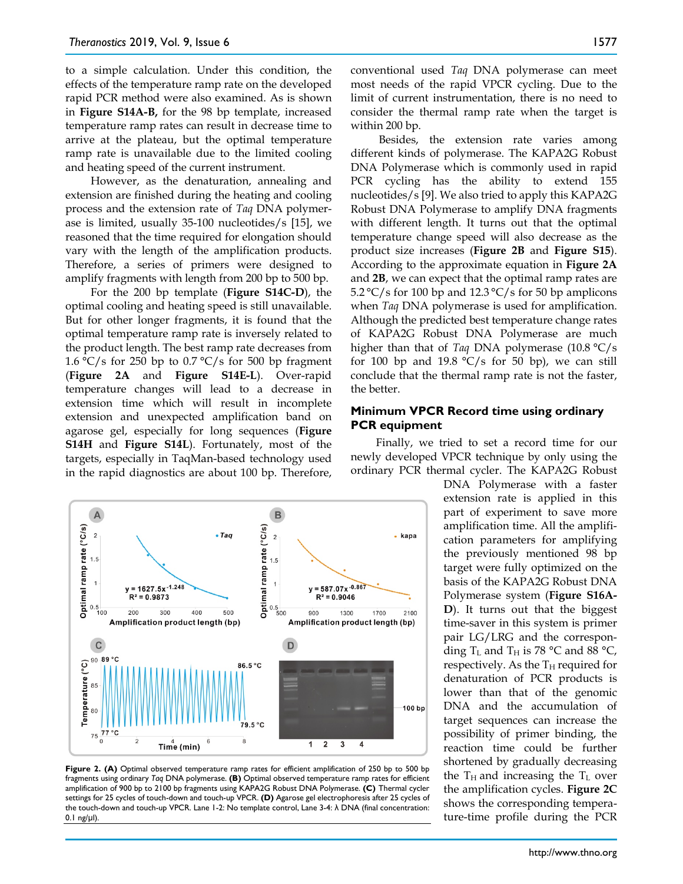to a simple calculation. Under this condition, the effects of the temperature ramp rate on the developed rapid PCR method were also examined. As is shown in **Figure S14A-B,** for the 98 bp template, increased temperature ramp rates can result in decrease time to arrive at the plateau, but the optimal temperature ramp rate is unavailable due to the limited cooling and heating speed of the current instrument.

However, as the denaturation, annealing and extension are finished during the heating and cooling process and the extension rate of *Taq* DNA polymerase is limited, usually 35-100 nucleotides/s [15], we reasoned that the time required for elongation should vary with the length of the amplification products. Therefore, a series of primers were designed to amplify fragments with length from 200 bp to 500 bp.

For the 200 bp template (**Figure S14C-D**), the optimal cooling and heating speed is still unavailable. But for other longer fragments, it is found that the optimal temperature ramp rate is inversely related to the product length. The best ramp rate decreases from 1.6 °C/s for 250 bp to 0.7 °C/s for 500 bp fragment (**Figure 2A** and **Figure S14E-L**). Over-rapid temperature changes will lead to a decrease in extension time which will result in incomplete extension and unexpected amplification band on agarose gel, especially for long sequences (**Figure S14H** and **Figure S14L**). Fortunately, most of the targets, especially in TaqMan-based technology used in the rapid diagnostics are about 100 bp. Therefore,



**Figure 2. (A)** Optimal observed temperature ramp rates for efficient amplification of 250 bp to 500 bp fragments using ordinary *Taq* DNA polymerase. **(B)** Optimal observed temperature ramp rates for efficient amplification of 900 bp to 2100 bp fragments using KAPA2G Robust DNA Polymerase. **(C)** Thermal cycler settings for 25 cycles of touch-down and touch-up VPCR. **(D)** Agarose gel electrophoresis after 25 cycles of the touch-down and touch-up VPCR. Lane 1-2: No template control, Lane 3-4: λ DNA (final concentration: 0.1 ng/μl).

conventional used *Taq* DNA polymerase can meet most needs of the rapid VPCR cycling. Due to the limit of current instrumentation, there is no need to consider the thermal ramp rate when the target is within 200 bp.

Besides, the extension rate varies among different kinds of polymerase. The KAPA2G Robust DNA Polymerase which is commonly used in rapid PCR cycling has the ability to extend 155 nucleotides/s [9]. We also tried to apply this KAPA2G Robust DNA Polymerase to amplify DNA fragments with different length. It turns out that the optimal temperature change speed will also decrease as the product size increases (**Figure 2B** and **Figure S15**). According to the approximate equation in **Figure 2A** and **2B**, we can expect that the optimal ramp rates are 5.2 °C/s for 100 bp and 12.3 °C/s for 50 bp amplicons when *Taq* DNA polymerase is used for amplification. Although the predicted best temperature change rates of KAPA2G Robust DNA Polymerase are much higher than that of *Taq* DNA polymerase (10.8 °C/s for 100 bp and 19.8  $\degree$ C/s for 50 bp), we can still conclude that the thermal ramp rate is not the faster, the better.

#### **Minimum VPCR Record time using ordinary PCR equipment**

Finally, we tried to set a record time for our newly developed VPCR technique by only using the ordinary PCR thermal cycler. The KAPA2G Robust

> DNA Polymerase with a faster extension rate is applied in this part of experiment to save more amplification time. All the amplification parameters for amplifying the previously mentioned 98 bp target were fully optimized on the basis of the KAPA2G Robust DNA Polymerase system (**Figure S16A-D**). It turns out that the biggest time-saver in this system is primer pair LG/LRG and the corresponding  $T_L$  and  $T_H$  is 78 °C and 88 °C, respectively. As the  $T_H$  required for denaturation of PCR products is lower than that of the genomic DNA and the accumulation of target sequences can increase the possibility of primer binding, the reaction time could be further shortened by gradually decreasing the  $T_H$  and increasing the  $T_L$  over the amplification cycles. **Figure 2C** shows the corresponding temperature-time profile during the PCR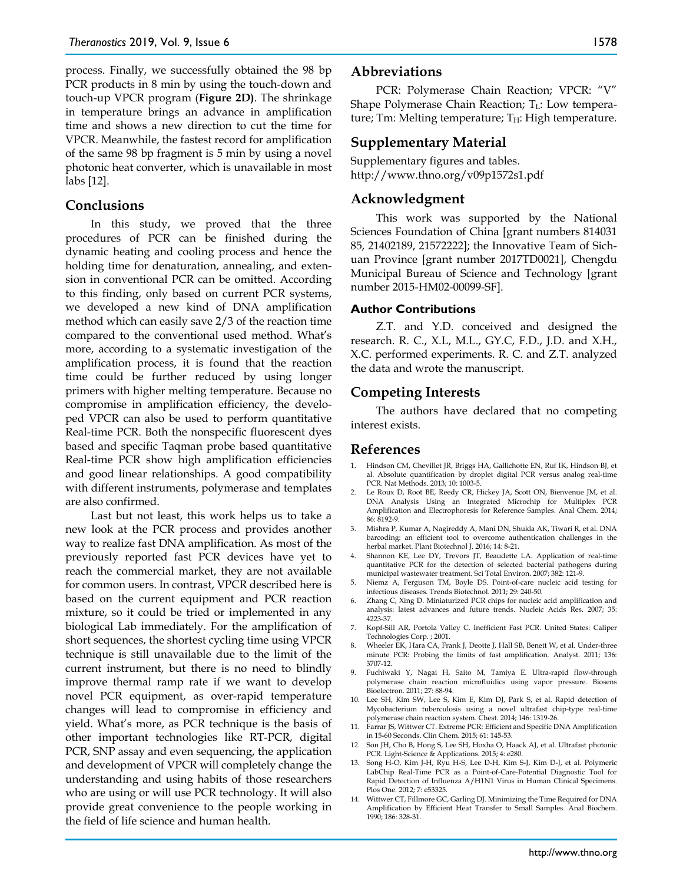process. Finally, we successfully obtained the 98 bp PCR products in 8 min by using the touch-down and touch-up VPCR program (**Figure 2D)**. The shrinkage in temperature brings an advance in amplification time and shows a new direction to cut the time for VPCR. Meanwhile, the fastest record for amplification of the same 98 bp fragment is 5 min by using a novel photonic heat converter, which is unavailable in most labs [12].

## **Conclusions**

In this study, we proved that the three procedures of PCR can be finished during the dynamic heating and cooling process and hence the holding time for denaturation, annealing, and extension in conventional PCR can be omitted. According to this finding, only based on current PCR systems, we developed a new kind of DNA amplification method which can easily save 2/3 of the reaction time compared to the conventional used method. What's more, according to a systematic investigation of the amplification process, it is found that the reaction time could be further reduced by using longer primers with higher melting temperature. Because no compromise in amplification efficiency, the developed VPCR can also be used to perform quantitative Real-time PCR. Both the nonspecific fluorescent dyes based and specific Taqman probe based quantitative Real-time PCR show high amplification efficiencies and good linear relationships. A good compatibility with different instruments, polymerase and templates are also confirmed.

Last but not least, this work helps us to take a new look at the PCR process and provides another way to realize fast DNA amplification. As most of the previously reported fast PCR devices have yet to reach the commercial market, they are not available for common users. In contrast, VPCR described here is based on the current equipment and PCR reaction mixture, so it could be tried or implemented in any biological Lab immediately. For the amplification of short sequences, the shortest cycling time using VPCR technique is still unavailable due to the limit of the current instrument, but there is no need to blindly improve thermal ramp rate if we want to develop novel PCR equipment, as over-rapid temperature changes will lead to compromise in efficiency and yield. What's more, as PCR technique is the basis of other important technologies like RT-PCR, digital PCR, SNP assay and even sequencing, the application and development of VPCR will completely change the understanding and using habits of those researchers who are using or will use PCR technology. It will also provide great convenience to the people working in the field of life science and human health.

#### **Abbreviations**

PCR: Polymerase Chain Reaction; VPCR: "V" Shape Polymerase Chain Reaction;  $T_L$ : Low temperature; Tm: Melting temperature;  $T_H$ : High temperature.

# **Supplementary Material**

Supplementary figures and tables. http://www.thno.org/v09p1572s1.pdf

## **Acknowledgment**

This work was supported by the National Sciences Foundation of China [grant numbers 814031 85, 21402189, 21572222]; the Innovative Team of Sichuan Province [grant number 2017TD0021], Chengdu Municipal Bureau of Science and Technology [grant number 2015-HM02-00099-SF].

#### **Author Contributions**

Z.T. and Y.D. conceived and designed the research. R. C., X.L, M.L., GY.C, F.D., J.D. and X.H., X.C. performed experiments. R. C. and Z.T. analyzed the data and wrote the manuscript.

## **Competing Interests**

The authors have declared that no competing interest exists.

# **References**

- 1. Hindson CM, Chevillet JR, Briggs HA, Gallichotte EN, Ruf IK, Hindson BJ, et al. Absolute quantification by droplet digital PCR versus analog real-time PCR. Nat Methods. 2013; 10: 1003-5.
- 2. Le Roux D, Root BE, Reedy CR, Hickey JA, Scott ON, Bienvenue JM, et al. DNA Analysis Using an Integrated Microchip for Multiplex PCR Amplification and Electrophoresis for Reference Samples. Anal Chem. 2014; 86: 8192-9.
- 3. Mishra P, Kumar A, Nagireddy A, Mani DN, Shukla AK, Tiwari R, et al. DNA barcoding: an efficient tool to overcome authentication challenges in the herbal market. Plant Biotechnol J. 2016; 14: 8-21.
- 4. Shannon KE, Lee DY, Trevors JT, Beaudette LA. Application of real-time quantitative PCR for the detection of selected bacterial pathogens during municipal wastewater treatment. Sci Total Environ. 2007; 382: 121-9.
- 5. Niemz A, Ferguson TM, Boyle DS. Point-of-care nucleic acid testing for infectious diseases. Trends Biotechnol. 2011; 29: 240-50.
- 6. Zhang C, Xing D. Miniaturized PCR chips for nucleic acid amplification and analysis: latest advances and future trends. Nucleic Acids Res. 2007; 35: 4223-37.
- 7. Kopf-Sill AR, Portola Valley C. Inefficient Fast PCR. United States: Caliper Technologies Corp. ; 2001.
- 8. Wheeler EK, Hara CA, Frank J, Deotte J, Hall SB, Benett W, et al. Under-three minute PCR: Probing the limits of fast amplification. Analyst. 2011; 136: 3707-12.
- 9. Fuchiwaki Y, Nagai H, Saito M, Tamiya E. Ultra-rapid flow-through polymerase chain reaction microfluidics using vapor pressure. Biosens Bioelectron. 2011; 27: 88-94.
- 10. Lee SH, Kim SW, Lee S, Kim E, Kim DJ, Park S, et al. Rapid detection of Mycobacterium tuberculosis using a novel ultrafast chip-type real-time polymerase chain reaction system. Chest. 2014; 146: 1319-26.
- 11. Farrar JS, Wittwer CT. Extreme PCR: Efficient and Specific DNA Amplification in 15-60 Seconds. Clin Chem. 2015; 61: 145-53.
- 12. Son JH, Cho B, Hong S, Lee SH, Hoxha O, Haack AJ, et al. Ultrafast photonic PCR. Light-Science & Applications. 2015; 4: e280.
- 13. Song H-O, Kim J-H, Ryu H-S, Lee D-H, Kim S-J, Kim D-J, et al. Polymeric LabChip Real-Time PCR as a Point-of-Care-Potential Diagnostic Tool for Rapid Detection of Influenza A/H1N1 Virus in Human Clinical Specimens. Plos One. 2012; 7: e53325.
- 14. Wittwer CT, Fillmore GC, Garling DJ. Minimizing the Time Required for DNA Amplification by Efficient Heat Transfer to Small Samples. Anal Biochem. 1990; 186: 328-31.